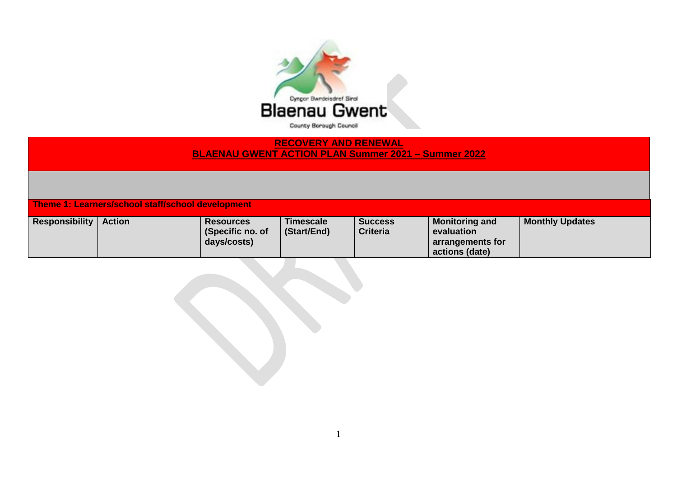

## **RECOVERY AND RENEWAL BLAENAU GWENT ACTION PLAN Summer 2021 – Summer 2022**

**Theme 1: Learners/school staff/school development** 

| <b>Responsibility</b> | <b>Action</b> | <b>Resources</b><br>(Specific no. of | <b>Timescale</b><br>(Start/End) | <b>Success</b><br><b>Criteria</b> | <b>Monitoring and</b><br>evaluation | <b>Monthly Updates</b> |
|-----------------------|---------------|--------------------------------------|---------------------------------|-----------------------------------|-------------------------------------|------------------------|
|                       |               | days/costs)                          |                                 |                                   | arrangements for                    |                        |
|                       |               |                                      |                                 |                                   | actions (date)                      |                        |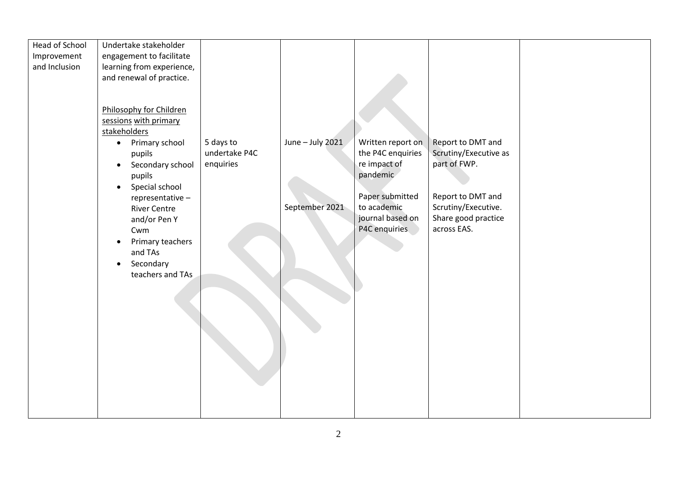| Head of School | Undertake stakeholder                  |               |                  |                   |                       |  |
|----------------|----------------------------------------|---------------|------------------|-------------------|-----------------------|--|
| Improvement    | engagement to facilitate               |               |                  |                   |                       |  |
| and Inclusion  | learning from experience,              |               |                  |                   |                       |  |
|                | and renewal of practice.               |               |                  |                   |                       |  |
|                |                                        |               |                  |                   |                       |  |
|                |                                        |               |                  |                   |                       |  |
|                | Philosophy for Children                |               |                  |                   |                       |  |
|                | sessions with primary                  |               |                  |                   |                       |  |
|                | stakeholders                           |               |                  |                   |                       |  |
|                | Primary school<br>$\bullet$            | 5 days to     | June - July 2021 | Written report on | Report to DMT and     |  |
|                | pupils                                 | undertake P4C |                  | the P4C enquiries | Scrutiny/Executive as |  |
|                | Secondary school<br>$\bullet$          | enquiries     |                  | re impact of      | part of FWP.          |  |
|                | pupils                                 |               |                  | pandemic          |                       |  |
|                | Special school<br>$\bullet$            |               |                  | Paper submitted   | Report to DMT and     |  |
|                | representative-<br><b>River Centre</b> |               | September 2021   | to academic       | Scrutiny/Executive.   |  |
|                | and/or Pen Y                           |               |                  | journal based on  | Share good practice   |  |
|                | Cwm                                    |               |                  | P4C enquiries     | across EAS.           |  |
|                | Primary teachers<br>$\bullet$          |               |                  |                   |                       |  |
|                | and TAs                                |               |                  |                   |                       |  |
|                | Secondary<br>$\bullet$                 |               |                  |                   |                       |  |
|                | teachers and TAs                       |               |                  |                   |                       |  |
|                |                                        |               |                  |                   |                       |  |
|                |                                        |               |                  |                   |                       |  |
|                |                                        |               |                  |                   |                       |  |
|                |                                        |               |                  |                   |                       |  |
|                |                                        |               |                  |                   |                       |  |
|                |                                        |               |                  |                   |                       |  |
|                |                                        |               |                  |                   |                       |  |
|                |                                        |               |                  |                   |                       |  |
|                |                                        |               |                  |                   |                       |  |
|                |                                        |               |                  |                   |                       |  |
|                |                                        |               |                  |                   |                       |  |
|                |                                        |               |                  |                   |                       |  |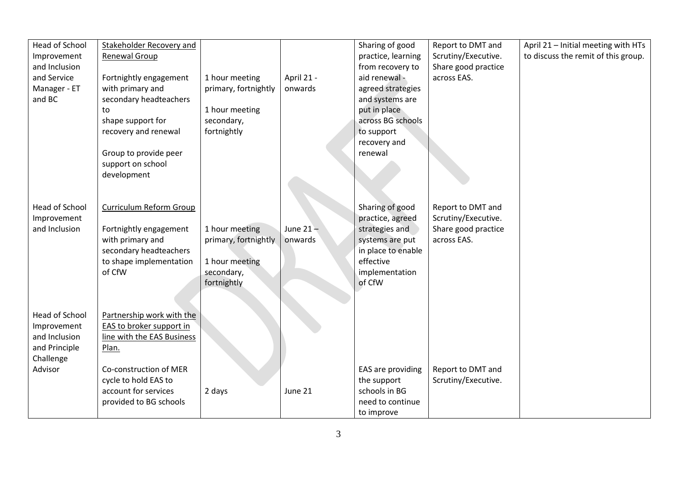| <b>Head of School</b> | Stakeholder Recovery and   |                      |             | Sharing of good    | Report to DMT and   | April 21 - Initial meeting with HTs |
|-----------------------|----------------------------|----------------------|-------------|--------------------|---------------------|-------------------------------------|
| Improvement           | Renewal Group              |                      |             | practice, learning | Scrutiny/Executive. | to discuss the remit of this group. |
| and Inclusion         |                            |                      |             | from recovery to   | Share good practice |                                     |
| and Service           | Fortnightly engagement     | 1 hour meeting       | April 21 -  | aid renewal -      | across EAS.         |                                     |
| Manager - ET          | with primary and           | primary, fortnightly | onwards     | agreed strategies  |                     |                                     |
| and BC                | secondary headteachers     |                      |             | and systems are    |                     |                                     |
|                       |                            | 1 hour meeting       |             | put in place       |                     |                                     |
|                       | to                         |                      |             |                    |                     |                                     |
|                       | shape support for          | secondary,           |             | across BG schools  |                     |                                     |
|                       | recovery and renewal       | fortnightly          |             | to support         |                     |                                     |
|                       |                            |                      |             | recovery and       |                     |                                     |
|                       | Group to provide peer      |                      |             | renewal            |                     |                                     |
|                       | support on school          |                      |             |                    |                     |                                     |
|                       | development                |                      |             |                    |                     |                                     |
|                       |                            |                      |             |                    |                     |                                     |
|                       |                            |                      |             |                    |                     |                                     |
| <b>Head of School</b> | Curriculum Reform Group    |                      |             | Sharing of good    | Report to DMT and   |                                     |
| Improvement           |                            |                      |             | practice, agreed   | Scrutiny/Executive. |                                     |
| and Inclusion         | Fortnightly engagement     | 1 hour meeting       | June $21 -$ | strategies and     | Share good practice |                                     |
|                       | with primary and           | primary, fortnightly | onwards     | systems are put    | across EAS.         |                                     |
|                       | secondary headteachers     |                      |             | in place to enable |                     |                                     |
|                       | to shape implementation    | 1 hour meeting       |             | effective          |                     |                                     |
|                       | of CfW                     | secondary,           |             | implementation     |                     |                                     |
|                       |                            | fortnightly          |             | of CfW             |                     |                                     |
|                       |                            |                      |             |                    |                     |                                     |
|                       |                            |                      |             |                    |                     |                                     |
| <b>Head of School</b> | Partnership work with the  |                      |             |                    |                     |                                     |
| Improvement           | EAS to broker support in   |                      |             |                    |                     |                                     |
| and Inclusion         | line with the EAS Business |                      |             |                    |                     |                                     |
| and Principle         | Plan.                      |                      |             |                    |                     |                                     |
| Challenge             |                            |                      |             |                    |                     |                                     |
| Advisor               | Co-construction of MER     |                      |             | EAS are providing  | Report to DMT and   |                                     |
|                       | cycle to hold EAS to       |                      |             | the support        | Scrutiny/Executive. |                                     |
|                       | account for services       | 2 days               | June 21     | schools in BG      |                     |                                     |
|                       |                            |                      |             | need to continue   |                     |                                     |
|                       | provided to BG schools     |                      |             |                    |                     |                                     |
|                       |                            |                      |             | to improve         |                     |                                     |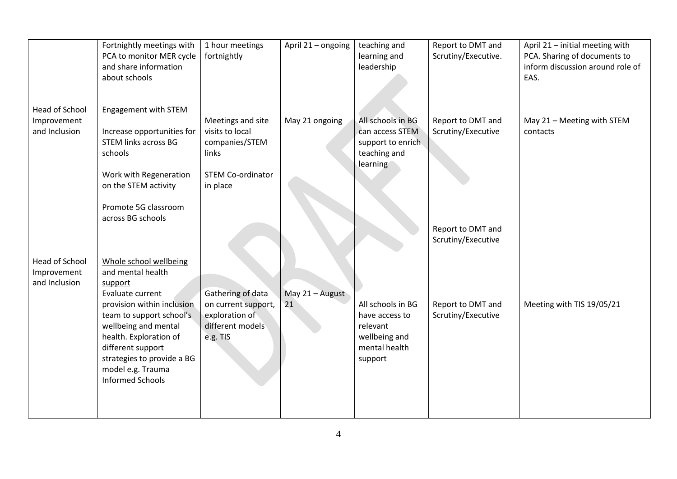|                                                       | Fortnightly meetings with<br>PCA to monitor MER cycle<br>and share information<br>about schools                                                                                                                                                                                           | 1 hour meetings<br>fortnightly                                                                   | April 21 - ongoing    | teaching and<br>learning and<br>leadership                                                   | Report to DMT and<br>Scrutiny/Executive. | April 21 - initial meeting with<br>PCA. Sharing of documents to<br>inform discussion around role of<br>EAS. |
|-------------------------------------------------------|-------------------------------------------------------------------------------------------------------------------------------------------------------------------------------------------------------------------------------------------------------------------------------------------|--------------------------------------------------------------------------------------------------|-----------------------|----------------------------------------------------------------------------------------------|------------------------------------------|-------------------------------------------------------------------------------------------------------------|
| <b>Head of School</b><br>Improvement<br>and Inclusion | <b>Engagement with STEM</b><br>Increase opportunities for<br><b>STEM links across BG</b><br>schools<br>Work with Regeneration<br>on the STEM activity<br>Promote 5G classroom                                                                                                             | Meetings and site<br>visits to local<br>companies/STEM<br>links<br>STEM Co-ordinator<br>in place | May 21 ongoing        | All schools in BG<br>can access STEM<br>support to enrich.<br>teaching and<br>learning       | Report to DMT and<br>Scrutiny/Executive  | May 21 - Meeting with STEM<br>contacts                                                                      |
|                                                       | across BG schools                                                                                                                                                                                                                                                                         |                                                                                                  |                       |                                                                                              | Report to DMT and<br>Scrutiny/Executive  |                                                                                                             |
| Head of School<br>Improvement<br>and Inclusion        | Whole school wellbeing<br>and mental health<br>support<br>Evaluate current<br>provision within inclusion<br>team to support school's<br>wellbeing and mental<br>health. Exploration of<br>different support<br>strategies to provide a BG<br>model e.g. Trauma<br><b>Informed Schools</b> | Gathering of data<br>on current support,<br>exploration of<br>different models<br>e.g. TIS       | May 21 - August<br>21 | All schools in BG<br>have access to<br>relevant<br>wellbeing and<br>mental health<br>support | Report to DMT and<br>Scrutiny/Executive  | Meeting with TIS 19/05/21                                                                                   |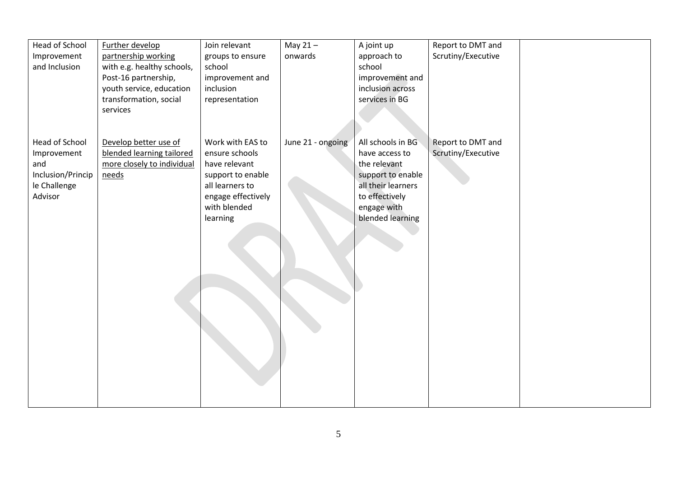| Head of School                    | Further develop                                   | Join relevant                        | May $21 -$        | A joint up                              | Report to DMT and  |  |
|-----------------------------------|---------------------------------------------------|--------------------------------------|-------------------|-----------------------------------------|--------------------|--|
| Improvement<br>and Inclusion      | partnership working<br>with e.g. healthy schools, | groups to ensure<br>school           | onwards           | approach to<br>school                   | Scrutiny/Executive |  |
|                                   | Post-16 partnership,                              | improvement and                      |                   | improvement and                         |                    |  |
|                                   | youth service, education                          | inclusion                            |                   | inclusion across                        |                    |  |
|                                   | transformation, social                            | representation                       |                   | services in BG                          |                    |  |
|                                   | services                                          |                                      |                   |                                         |                    |  |
|                                   |                                                   |                                      |                   |                                         |                    |  |
| Head of School                    | Develop better use of                             | Work with EAS to                     | June 21 - ongoing | All schools in BG                       | Report to DMT and  |  |
| Improvement                       | blended learning tailored                         | ensure schools                       |                   | have access to                          | Scrutiny/Executive |  |
| and                               | more closely to individual                        | have relevant                        |                   | the relevant                            |                    |  |
| Inclusion/Princip<br>le Challenge | needs                                             | support to enable<br>all learners to |                   | support to enable<br>all their learners |                    |  |
| Advisor                           |                                                   | engage effectively                   |                   | to effectively                          |                    |  |
|                                   |                                                   | with blended                         |                   | engage with                             |                    |  |
|                                   |                                                   | learning                             |                   | blended learning                        |                    |  |
|                                   |                                                   |                                      |                   |                                         |                    |  |
|                                   |                                                   |                                      |                   |                                         |                    |  |
|                                   |                                                   |                                      |                   |                                         |                    |  |
|                                   |                                                   |                                      |                   |                                         |                    |  |
|                                   |                                                   |                                      |                   |                                         |                    |  |
|                                   |                                                   |                                      |                   |                                         |                    |  |
|                                   |                                                   |                                      |                   |                                         |                    |  |
|                                   |                                                   |                                      |                   |                                         |                    |  |
|                                   |                                                   |                                      |                   |                                         |                    |  |
|                                   |                                                   |                                      |                   |                                         |                    |  |
|                                   |                                                   |                                      |                   |                                         |                    |  |
|                                   |                                                   |                                      |                   |                                         |                    |  |
|                                   |                                                   |                                      |                   |                                         |                    |  |
|                                   |                                                   |                                      |                   |                                         |                    |  |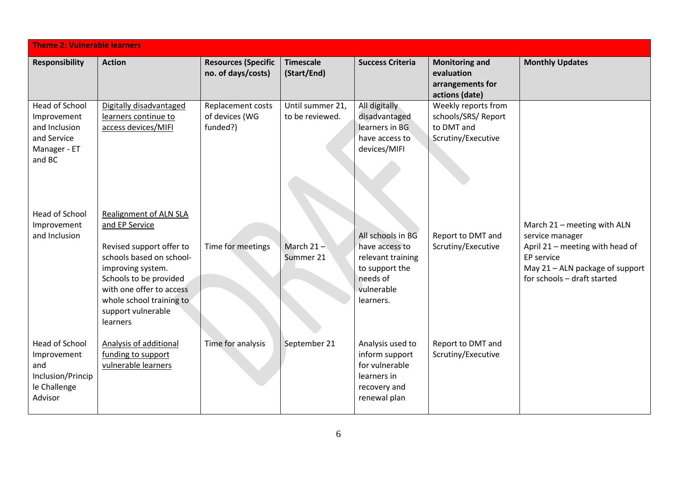| <b>Theme 2: Vulnerable learners</b>                                                            |                                                                                                                                                                                                                                                  |                                                  |                                     |                                                                                                                   |                                                                                |                                                                                                                                                                   |  |
|------------------------------------------------------------------------------------------------|--------------------------------------------------------------------------------------------------------------------------------------------------------------------------------------------------------------------------------------------------|--------------------------------------------------|-------------------------------------|-------------------------------------------------------------------------------------------------------------------|--------------------------------------------------------------------------------|-------------------------------------------------------------------------------------------------------------------------------------------------------------------|--|
| <b>Responsibility</b>                                                                          | <b>Action</b>                                                                                                                                                                                                                                    | <b>Resources (Specific</b><br>no. of days/costs) | <b>Timescale</b><br>(Start/End)     | <b>Success Criteria</b>                                                                                           | <b>Monitoring and</b><br>evaluation<br>arrangements for<br>actions (date)      | <b>Monthly Updates</b>                                                                                                                                            |  |
| <b>Head of School</b><br>Improvement<br>and Inclusion<br>and Service<br>Manager - ET<br>and BC | Digitally disadvantaged<br>learners continue to<br>access devices/MIFI                                                                                                                                                                           | Replacement costs<br>of devices (WG<br>funded?)  | Until summer 21,<br>to be reviewed. | All digitally<br>disadvantaged<br>learners in BG<br>have access to<br>devices/MIFI                                | Weekly reports from<br>schools/SRS/ Report<br>to DMT and<br>Scrutiny/Executive |                                                                                                                                                                   |  |
| Head of School<br>Improvement<br>and Inclusion                                                 | <b>Realignment of ALN SLA</b><br>and EP Service<br>Revised support offer to<br>schools based on school-<br>improving system.<br>Schools to be provided<br>with one offer to access<br>whole school training to<br>support vulnerable<br>learners | Time for meetings                                | March $21 -$<br>Summer 21           | All schools in BG<br>have access to<br>relevant training<br>to support the<br>needs of<br>vulnerable<br>learners. | Report to DMT and<br>Scrutiny/Executive                                        | March 21 - meeting with ALN<br>service manager<br>April 21 - meeting with head of<br>EP service<br>May 21 - ALN package of support<br>for schools - draft started |  |
| <b>Head of School</b><br>Improvement<br>and<br>Inclusion/Princip<br>le Challenge<br>Advisor    | Analysis of additional<br>funding to support<br>vulnerable learners                                                                                                                                                                              | Time for analysis                                | September 21                        | Analysis used to<br>inform support<br>for vulnerable<br>learners in<br>recovery and<br>renewal plan               | Report to DMT and<br>Scrutiny/Executive                                        |                                                                                                                                                                   |  |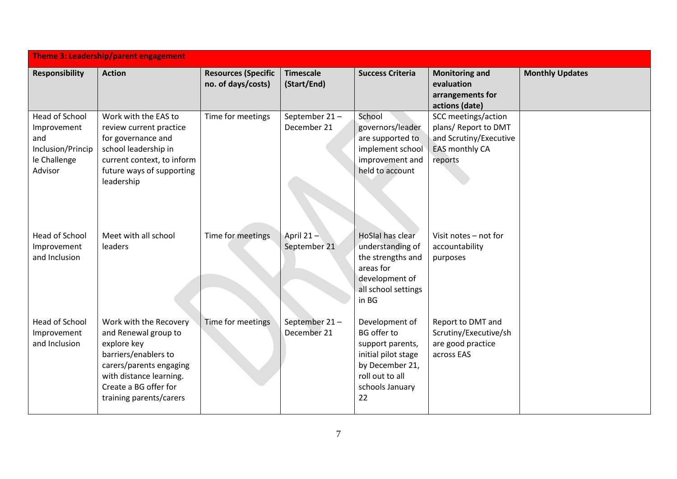|                                                                                             | Theme 3: Leadership/parent engagement                                                                                                                                                           |                                                  |                                 |                                                                                                                                                |                                                                                                    |                        |  |  |
|---------------------------------------------------------------------------------------------|-------------------------------------------------------------------------------------------------------------------------------------------------------------------------------------------------|--------------------------------------------------|---------------------------------|------------------------------------------------------------------------------------------------------------------------------------------------|----------------------------------------------------------------------------------------------------|------------------------|--|--|
| <b>Responsibility</b>                                                                       | <b>Action</b>                                                                                                                                                                                   | <b>Resources (Specific</b><br>no. of days/costs) | <b>Timescale</b><br>(Start/End) | <b>Success Criteria</b>                                                                                                                        | <b>Monitoring and</b><br>evaluation<br>arrangements for<br>actions (date)                          | <b>Monthly Updates</b> |  |  |
| <b>Head of School</b><br>Improvement<br>and<br>Inclusion/Princip<br>le Challenge<br>Advisor | Work with the EAS to<br>review current practice<br>for governance and<br>school leadership in<br>current context, to inform<br>future ways of supporting<br>leadership                          | Time for meetings                                | September 21-<br>December 21    | School<br>governors/leader<br>are supported to<br>implement school<br>improvement and<br>held to account                                       | SCC meetings/action<br>plans/ Report to DMT<br>and Scrutiny/Executive<br>EAS monthly CA<br>reports |                        |  |  |
| <b>Head of School</b><br>Improvement<br>and Inclusion                                       | Meet with all school<br>leaders                                                                                                                                                                 | Time for meetings                                | April $21 -$<br>September 21    | <b>HoSlal has clear</b><br>understanding of<br>the strengths and<br>areas for<br>development of<br>all school settings<br>in BG                | Visit notes - not for<br>accountability<br>purposes                                                |                        |  |  |
| Head of School<br>Improvement<br>and Inclusion                                              | Work with the Recovery<br>and Renewal group to<br>explore key<br>barriers/enablers to<br>carers/parents engaging<br>with distance learning.<br>Create a BG offer for<br>training parents/carers | Time for meetings                                | September 21-<br>December 21    | Development of<br><b>BG</b> offer to<br>support parents,<br>initial pilot stage<br>by December 21,<br>roll out to all<br>schools January<br>22 | Report to DMT and<br>Scrutiny/Executive/sh<br>are good practice<br>across EAS                      |                        |  |  |